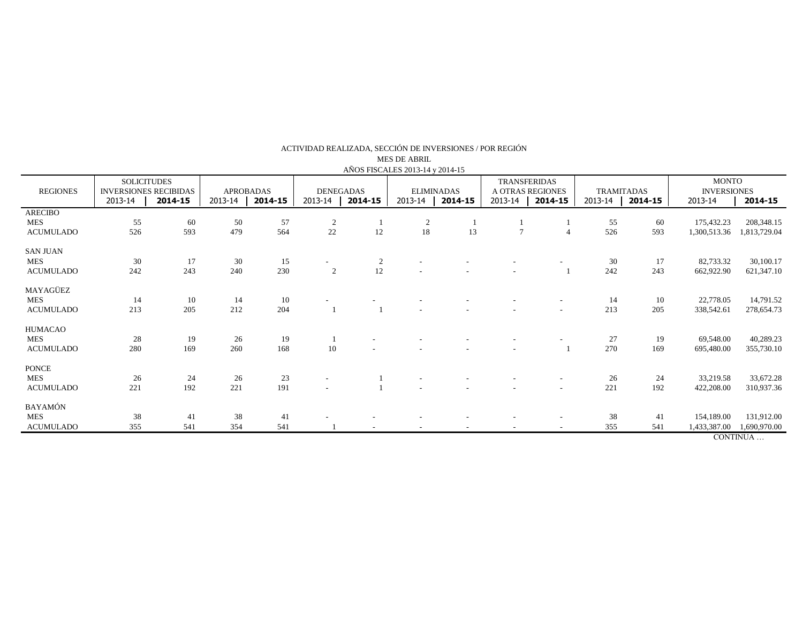| AÑOS FISCALES 2013-14 y 2014-15 |                                                                          |     |                                        |     |                                        |        |                                         |    |                                                               |                          |                                             |     |                                                          |              |
|---------------------------------|--------------------------------------------------------------------------|-----|----------------------------------------|-----|----------------------------------------|--------|-----------------------------------------|----|---------------------------------------------------------------|--------------------------|---------------------------------------------|-----|----------------------------------------------------------|--------------|
| <b>REGIONES</b>                 | <b>SOLICITUDES</b><br><b>INVERSIONES RECIBIDAS</b><br>2013-14<br>2014-15 |     | <b>APROBADAS</b><br>2013-14<br>2014-15 |     | <b>DENEGADAS</b><br>2013-14<br>2014-15 |        | <b>ELIMINADAS</b><br>2013-14<br>2014-15 |    | <b>TRANSFERIDAS</b><br>A OTRAS REGIONES<br>2013-14<br>2014-15 |                          | <b>TRAMITADAS</b><br>2013-14<br>$2014 - 15$ |     | <b>MONTO</b><br><b>INVERSIONES</b><br>2013-14<br>2014-15 |              |
| <b>ARECIBO</b>                  |                                                                          |     |                                        |     |                                        |        |                                         |    |                                                               |                          |                                             |     |                                                          |              |
| <b>MES</b>                      | 55                                                                       | 60  | 50                                     | 57  | $\overline{2}$                         |        | $\overline{2}$                          |    |                                                               |                          | 55                                          | 60  | 175,432.23                                               | 208,348.15   |
| <b>ACUMULADO</b>                | 526                                                                      | 593 | 479                                    | 564 | 22                                     | $12\,$ | 18                                      | 13 | $\overline{7}$                                                |                          | 526                                         | 593 | 1,300,513.36                                             | 1,813,729.04 |
| <b>SAN JUAN</b>                 |                                                                          |     |                                        |     |                                        |        |                                         |    |                                                               |                          |                                             |     |                                                          |              |
| <b>MES</b>                      | 30                                                                       | 17  | 30                                     | 15  |                                        | 2      |                                         |    |                                                               |                          | 30                                          | 17  | 82,733.32                                                | 30,100.17    |
| <b>ACUMULADO</b>                | 242                                                                      | 243 | 240                                    | 230 | $\overline{c}$                         | 12     |                                         |    |                                                               |                          | 242                                         | 243 | 662,922.90                                               | 621,347.10   |
| MAYAGÜEZ                        |                                                                          |     |                                        |     |                                        |        |                                         |    |                                                               |                          |                                             |     |                                                          |              |
| <b>MES</b>                      | 14                                                                       | 10  | 14                                     | 10  |                                        |        |                                         |    |                                                               |                          | -14                                         | 10  | 22,778.05                                                | 14,791.52    |
| <b>ACUMULADO</b>                | 213                                                                      | 205 | 212                                    | 204 |                                        |        |                                         |    |                                                               | $\overline{\phantom{a}}$ | 213                                         | 205 | 338,542.61                                               | 278,654.73   |
| <b>HUMACAO</b>                  |                                                                          |     |                                        |     |                                        |        |                                         |    |                                                               |                          |                                             |     |                                                          |              |
| <b>MES</b>                      | 28                                                                       | 19  | 26                                     | 19  |                                        |        |                                         |    |                                                               |                          | 27                                          | 19  | 69,548.00                                                | 40,289.23    |
| <b>ACUMULADO</b>                | 280                                                                      | 169 | 260                                    | 168 | 10                                     |        |                                         |    |                                                               |                          | 270                                         | 169 | 695,480.00                                               | 355,730.10   |
| <b>PONCE</b>                    |                                                                          |     |                                        |     |                                        |        |                                         |    |                                                               |                          |                                             |     |                                                          |              |
| <b>MES</b>                      | 26                                                                       |     | 26                                     | 23  |                                        |        |                                         |    |                                                               |                          | 26                                          |     | 33,219.58                                                | 33,672.28    |
|                                 |                                                                          | 24  |                                        | 191 |                                        |        |                                         |    |                                                               | $\overline{\phantom{a}}$ |                                             | 24  |                                                          |              |
| <b>ACUMULADO</b>                | 221                                                                      | 192 | 221                                    |     |                                        |        |                                         |    |                                                               | $\overline{\phantom{a}}$ | 221                                         | 192 | 422,208.00                                               | 310,937.36   |
| <b>BAYAMÓN</b>                  |                                                                          |     |                                        |     |                                        |        |                                         |    |                                                               |                          |                                             |     |                                                          |              |
| <b>MES</b>                      | 38                                                                       | 41  | 38                                     | 41  |                                        |        |                                         |    |                                                               |                          | 38                                          | 41  | 154,189.00                                               | 131,912.00   |
| <b>ACUMULADO</b>                | 355                                                                      | 541 | 354                                    | 541 |                                        |        |                                         |    |                                                               |                          | 355                                         | 541 | 1,433,387.00                                             | 1,690,970.00 |
|                                 |                                                                          |     |                                        |     |                                        |        |                                         |    |                                                               |                          |                                             |     |                                                          | CONTINUA     |

ACTIVIDAD REALIZADA, SECCIÓN DE INVERSIONES / POR REGIÓN

MES DE ABRIL